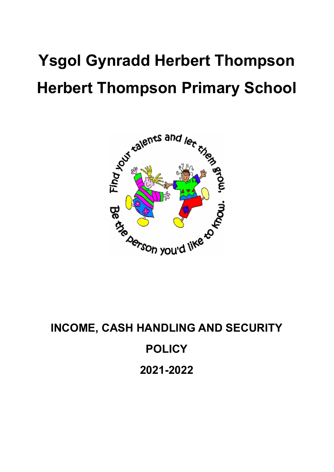# **Ysgol Gynradd Herbert Thompson Herbert Thompson Primary School**



**INCOME, CASH HANDLING AND SECURITY POLICY 2021-2022**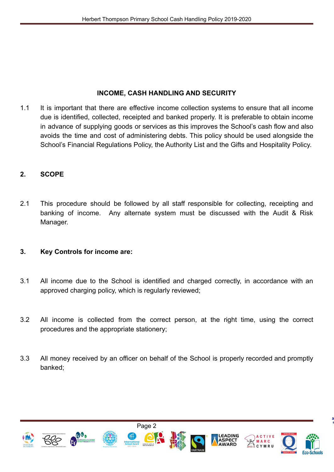#### **INCOME, CASH HANDLING AND SECURITY**

1.1 It is important that there are effective income collection systems to ensure that all income due is identified, collected, receipted and banked properly. It is preferable to obtain income in advance of supplying goods or services as this improves the School's cash flow and also avoids the time and cost of administering debts. This policy should be used alongside the School's Financial Regulations Policy, the Authority List and the Gifts and Hospitality Policy.

## **2. SCOPE**

2.1 This procedure should be followed by all staff responsible for collecting, receipting and banking of income. Any alternate system must be discussed with the Audit & Risk Manager.

#### **3. Key Controls for income are:**

- 3.1 All income due to the School is identified and charged correctly, in accordance with an approved charging policy, which is regularly reviewed;
- 3.2 All income is collected from the correct person, at the right time, using the correct procedures and the appropriate stationery;
- 3.3 All money received by an officer on behalf of the School is properly recorded and promptly banked;

Page 2





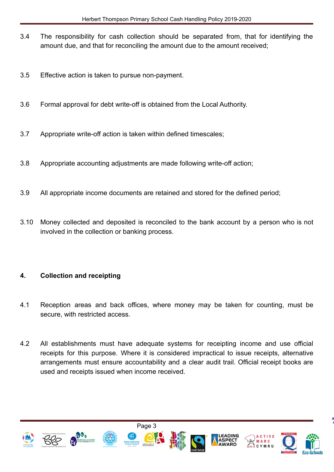- 3.4 The responsibility for cash collection should be separated from, that for identifying the amount due, and that for reconciling the amount due to the amount received;
- 3.5 Effective action is taken to pursue non-payment.
- 3.6 Formal approval for debt write-off is obtained from the Local Authority.
- 3.7 Appropriate write-off action is taken within defined timescales;
- 3.8 Appropriate accounting adjustments are made following write-off action;
- 3.9 All appropriate income documents are retained and stored for the defined period;
- 3.10 Money collected and deposited is reconciled to the bank account by a person who is not involved in the collection or banking process.

#### **4. Collection and receipting**

- 4.1 Reception areas and back offices, where money may be taken for counting, must be secure, with restricted access.
- 4.2 All establishments must have adequate systems for receipting income and use official receipts for this purpose. Where it is considered impractical to issue receipts, alternative arrangements must ensure accountability and a clear audit trail. Official receipt books are used and receipts issued when income received.

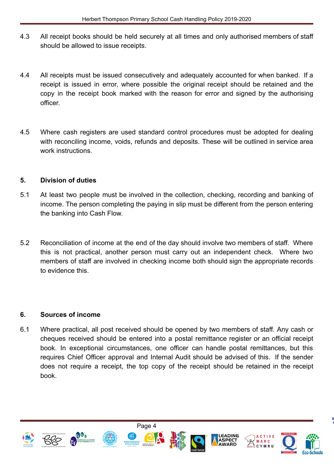- 4.3 All receipt books should be held securely at all times and only authorised members of staff should be allowed to issue receipts.
- 4.4 All receipts must be issued consecutively and adequately accounted for when banked. If a receipt is issued in error, where possible the original receipt should be retained and the copy in the receipt book marked with the reason for error and signed by the authorising officer.
- 4.5 Where cash registers are used standard control procedures must be adopted for dealing with reconciling income, voids, refunds and deposits. These will be outlined in service area work instructions.

## **5. Division of duties**

- 5.1 At least two people must be involved in the collection, checking, recording and banking of income. The person completing the paying in slip must be different from the person entering the banking into Cash Flow.
- 5.2 Reconciliation of income at the end of the day should involve two members of staff. Where this is not practical, another person must carry out an independent check. Where two members of staff are involved in checking income both should sign the appropriate records to evidence this.

#### **6. Sources of income**

6.1 Where practical, all post received should be opened by two members of staff. Any cash or cheques received should be entered into a postal remittance register or an official receipt book. In exceptional circumstances, one officer can handle postal remittances, but this requires Chief Officer approval and Internal Audit should be advised of this. If the sender does not require a receipt, the top copy of the receipt should be retained in the receipt book.

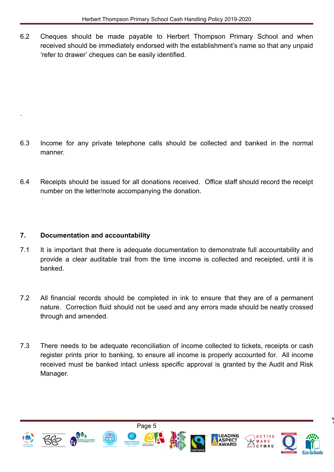6.2 Cheques should be made payable to Herbert Thompson Primary School and when received should be immediately endorsed with the establishment's name so that any unpaid 'refer to drawer' cheques can be easily identified.

- 6.3 Income for any private telephone calls should be collected and banked in the normal manner.
- 6.4 Receipts should be issued for all donations received. Office staff should record the receipt number on the letter/note accompanying the donation.

# **7. Documentation and accountability**

.

- 7.1 It is important that there is adequate documentation to demonstrate full accountability and provide a clear auditable trail from the time income is collected and receipted, until it is banked.
- 7.2 All financial records should be completed in ink to ensure that they are of a permanent nature. Correction fluid should not be used and any errors made should be neatly crossed through and amended.
- 7.3 There needs to be adequate reconciliation of income collected to tickets, receipts or cash register prints prior to banking, to ensure all income is properly accounted for. All income received must be banked intact unless specific approval is granted by the Audit and Risk Manager.









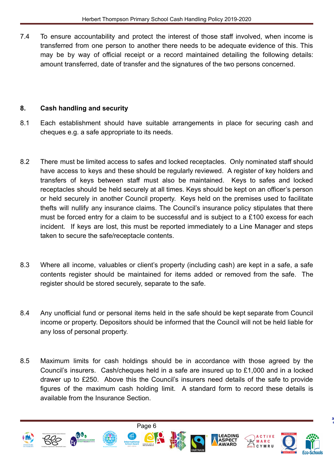7.4 To ensure accountability and protect the interest of those staff involved, when income is transferred from one person to another there needs to be adequate evidence of this. This may be by way of official receipt or a record maintained detailing the following details: amount transferred, date of transfer and the signatures of the two persons concerned.

# **8. Cash handling and security**

- 8.1 Each establishment should have suitable arrangements in place for securing cash and cheques e.g. a safe appropriate to its needs.
- 8.2 There must be limited access to safes and locked receptacles. Only nominated staff should have access to keys and these should be regularly reviewed. A register of key holders and transfers of keys between staff must also be maintained. Keys to safes and locked receptacles should be held securely at all times. Keys should be kept on an officer's person or held securely in another Council property. Keys held on the premises used to facilitate thefts will nullify any insurance claims. The Council's insurance policy stipulates that there must be forced entry for a claim to be successful and is subject to a £100 excess for each incident. If keys are lost, this must be reported immediately to a Line Manager and steps taken to secure the safe/receptacle contents.
- 8.3 Where all income, valuables or client's property (including cash) are kept in a safe, a safe contents register should be maintained for items added or removed from the safe. The register should be stored securely, separate to the safe.
- 8.4 Any unofficial fund or personal items held in the safe should be kept separate from Council income or property. Depositors should be informed that the Council will not be held liable for any loss of personal property.
- 8.5 Maximum limits for cash holdings should be in accordance with those agreed by the Council's insurers. Cash/cheques held in a safe are insured up to £1,000 and in a locked drawer up to £250. Above this the Council's insurers need details of the safe to provide figures of the maximum cash holding limit. A standard form to record these details is available from the Insurance Section.



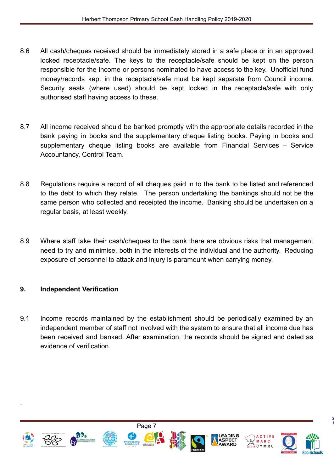- 8.6 All cash/cheques received should be immediately stored in a safe place or in an approved locked receptacle/safe. The keys to the receptacle/safe should be kept on the person responsible for the income or persons nominated to have access to the key. Unofficial fund money/records kept in the receptacle/safe must be kept separate from Council income. Security seals (where used) should be kept locked in the receptacle/safe with only authorised staff having access to these.
- 8.7 All income received should be banked promptly with the appropriate details recorded in the bank paying in books and the supplementary cheque listing books. Paying in books and supplementary cheque listing books are available from Financial Services – Service Accountancy, Control Team.
- 8.8 Regulations require a record of all cheques paid in to the bank to be listed and referenced to the debt to which they relate. The person undertaking the bankings should not be the same person who collected and receipted the income. Banking should be undertaken on a regular basis, at least weekly.
- 8.9 Where staff take their cash/cheques to the bank there are obvious risks that management need to try and minimise, both in the interests of the individual and the authority. Reducing exposure of personnel to attack and injury is paramount when carrying money.

# **9. Independent Verification**

.

9.1 Income records maintained by the establishment should be periodically examined by an independent member of staff not involved with the system to ensure that all income due has been received and banked. After examination, the records should be signed and dated as evidence of verification.